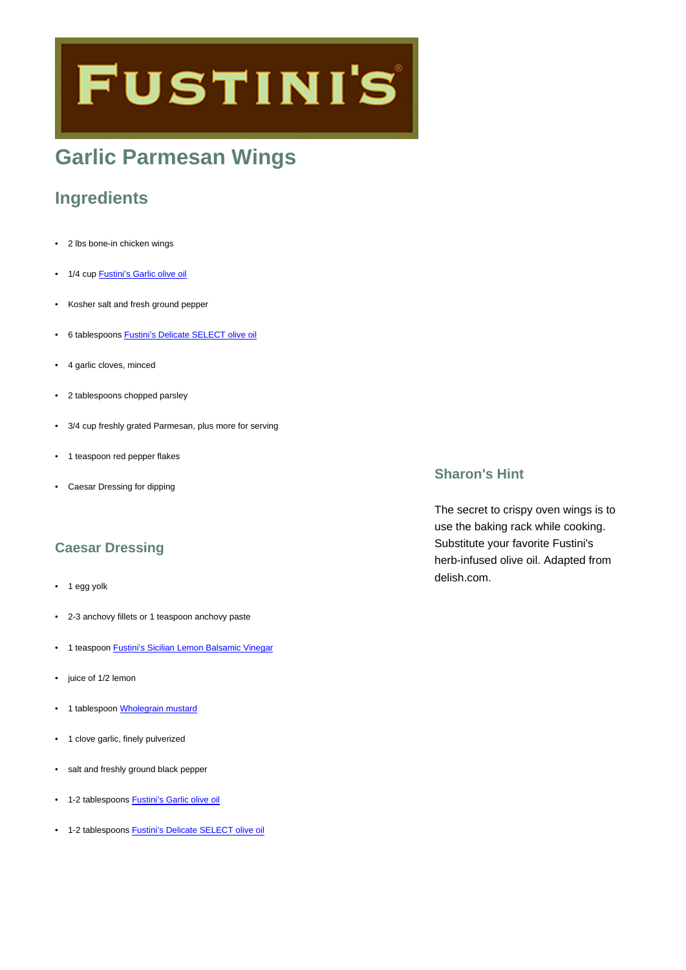# **FUSTINI'S**

# **Garlic Parmesan Wings**

## **Ingredients**

- 2 lbs bone-in chicken wings
- 1/4 cup **[Fustini's Garlic olive oil](https://www.fustinis.com/order/garlic_86/)**
- Kosher salt and fresh ground pepper
- 6 tablespoons [Fustini's Delicate SELECT olive oil](https://www.fustinis.com/order/category/oils/extra-virgin-olive-oils/delicate_8/)
- 4 garlic cloves, minced
- 2 tablespoons chopped parsley
- 3/4 cup freshly grated Parmesan, plus more for serving
- 1 teaspoon red pepper flakes
- Caesar Dressing for dipping

#### **Caesar Dressing**

- 1 egg yolk
- 2-3 anchovy fillets or 1 teaspoon anchovy paste
- 1 teaspoon [Fustini's Sicilian Lemon Balsamic Vinegar](https://www.fustinis.com/order/sicilian-lemon-white_102/)
- iuice of 1/2 lemon
- 1 tablespoon [Wholegrain mustard](https://www.fustinis.com/order/whole-grain-mustard_1773/)
- 1 clove garlic, finely pulverized
- salt and freshly ground black pepper
- 1-2 tablespoons **[Fustini's Garlic olive oil](https://www.fustinis.com/order/garlic_86/)**
- 1-2 tablespoons [Fustini's Delicate SELECT olive oil](https://www.fustinis.com/order/category/oils/extra-virgin-olive-oils/delicate_8/)

#### **Sharon's Hint**

The secret to crispy oven wings is to use the baking rack while cooking. Substitute your favorite Fustini's herb-infused olive oil. Adapted from delish.com.